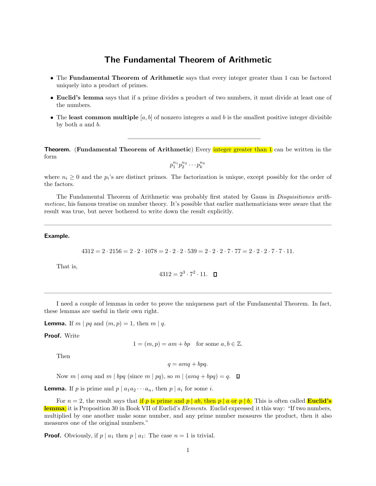# The Fundamental Theorem of Arithmetic

- The Fundamental Theorem of Arithmetic says that every integer greater than 1 can be factored uniquely into a product of primes.
- Euclid's lemma says that if a prime divides a product of two numbers, it must divide at least one of the numbers.
- The least common multiple  $[a, b]$  of nonzero integers a and b is the smallest positive integer divisible by both a and b.

**Theorem.** (Fundamental Theorem of Arithmetic) Every integer greater than 1 can be written in the form

 $p_1^{n_1} p_2^{n_2} \cdots p_k^{n_k}$ 

where  $n_i \geq 0$  and the  $p_i$ 's are distinct primes. The factorization is unique, except possibly for the order of the factors.

The Fundamental Theorem of Arithmetic was probably first stated by Gauss in Disquisitiones arithmeticae, his famous treatise on number theory. It's possible that earlier mathematicians were aware that the result was true, but never bothered to write down the result explicitly.

#### Example.

 $4312 = 2 \cdot 2156 = 2 \cdot 2 \cdot 1078 = 2 \cdot 2 \cdot 2 \cdot 539 = 2 \cdot 2 \cdot 7 \cdot 77 = 2 \cdot 2 \cdot 2 \cdot 7 \cdot 7 \cdot 11.$ 

That is,

$$
4312=2^3\cdot 7^2\cdot 11. \quad \square
$$

I need a couple of lemmas in order to prove the uniqueness part of the Fundamental Theorem. In fact, these lemmas are useful in their own right.

**Lemma.** If  $m | pq$  and  $(m, p) = 1$ , then  $m | q$ .

Proof. Write

 $1 = (m, p) = am + bp$  for some  $a, b \in \mathbb{Z}$ .

Then

 $q = amq + bpq$ .

Now m | amq and m | bpq (since m | pq), so m |  $(amq + bpq) = q$ .  $\Box$ 

**Lemma.** If p is prime and  $p \mid a_1 a_2 \cdots a_n$ , then  $p \mid a_i$  for some i.

For  $n = 2$ , the result says that if p is prime and p ab, then p a or p b. This is often called **Euclid's** lemma; it is Proposition 30 in Book VII of Euclid's *Elements*. Euclid expressed it this way: "If two numbers, multiplied by one another make some number, and any prime number measures the product, then it also measures one of the original numbers."

**Proof.** Obviously, if  $p \mid a_1$  then  $p \mid a_1$ : The case  $n = 1$  is trivial.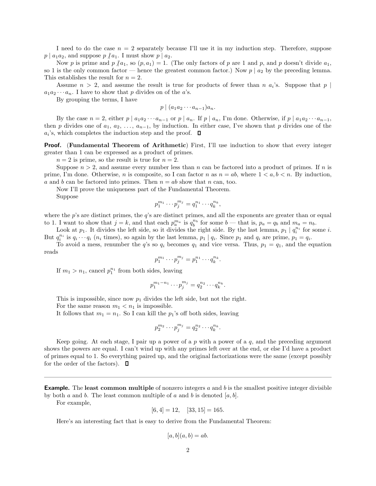I need to do the case  $n = 2$  separately because I'll use it in my induction step. Therefore, suppose  $p \mid a_1 a_2$ , and suppose  $p \nmid a_1$ . I must show  $p \mid a_2$ .

Now p is prime and  $p \nmid a_1$ , so  $(p, a_1) = 1$ . (The only factors of p are 1 and p, and p doesn't divide  $a_1$ , so 1 is the only common factor — hence the greatest common factor.) Now  $p \mid a_2$  by the preceding lemma. This establishes the result for  $n = 2$ .

Assume  $n > 2$ , and assume the result is true for products of fewer than n  $a_i$ 's. Suppose that  $p \mid$  $a_1a_2\cdots a_n$ . I have to show that p divides on of the a's.

By grouping the terms, I have

$$
p \mid (a_1 a_2 \cdots a_{n-1}) a_n.
$$

By the case  $n = 2$ , either  $p \mid a_1 a_2 \cdots a_{n-1}$  or  $p \mid a_n$ . If  $p \mid a_n$ , I'm done. Otherwise, if  $p \mid a_1 a_2 \cdots a_{n-1}$ , then p divides one of  $a_1, a_2, \ldots, a_{n-1}$ , by induction. In either case, I've shown that p divides one of the  $a_i$ 's, which completes the induction step and the proof.

**Proof.** (Fundamental Theorem of Arithmetic) First, I'll use induction to show that every integer greater than 1 can be expressed as a product of primes.

 $n = 2$  is prime, so the result is true for  $n = 2$ .

Suppose  $n > 2$ , and assume every number less than n can be factored into a product of primes. If n is prime, I'm done. Otherwise, n is composite, so I can factor n as  $n = ab$ , where  $1 < a, b < n$ . By induction, a and b can be factored into primes. Then  $n = ab$  show that n can, too.

Now I'll prove the uniqueness part of the Fundamental Theorem.

Suppose

$$
p_1^{m_1} \cdots p_j^{m_j} = q_1^{n_1} \cdots q_k^{n_k},
$$

where the p's are distinct primes, the q's are distinct primes, and all the exponents are greater than or equal to 1. I want to show that  $j = k$ , and that each  $p_a^{m_a}$  is  $q_b^{n_b}$  for some  $b$  — that is,  $p_a = q_b$  and  $m_a = n_b$ .

Look at  $p_1$ . It divides the left side, so it divides the right side. By the last lemma,  $p_1 | q_i^{n_i}$  for some i. But  $q_i^{n_i}$  is  $q_i \cdots q_i$  ( $n_i$  times), so again by the last lemma,  $p_1 | q_i$ . Since  $p_1$  and  $q_i$  are prime,  $p_1 = q_i$ .

To avoid a mess, renumber the q's so  $q_i$  becomes  $q_1$  and vice versa. Thus,  $p_1 = q_1$ , and the equation reads

$$
p_1^{m_1} \cdots p_j^{m_j} = p_1^{n_1} \cdots q_k^{n_k}.
$$

If  $m_1 > n_1$ , cancel  $p_1^{n_1}$  from both sides, leaving

$$
p_1^{m_1-n_1} \cdots p_j^{m_j} = q_2^{n_2} \cdots q_k^{n_k}.
$$

This is impossible, since now  $p_1$  divides the left side, but not the right.

For the same reason  $m_1 < n_1$  is impossible.

It follows that  $m_1 = n_1$ . So I can kill the  $p_1$ 's off both sides, leaving

$$
p_2^{m_2}\cdots p_j^{m_j}=q_2^{n_2}\cdots q_k^{n_k}.
$$

Keep going. At each stage, I pair up a power of a p with a power of a  $q$ , and the preceding argument shows the powers are equal. I can't wind up with any primes left over at the end, or else I'd have a product of primes equal to 1. So everything paired up, and the original factorizations were the same (except possibly for the order of the factors).  $\Box$ 

**Example.** The least common multiple of nonzero integers  $a$  and  $b$  is the smallest positive integer divisible by both a and b. The least common multiple of a and b is denoted  $[a, b]$ .

For example,

$$
[6, 4] = 12, \quad [33, 15] = 165.
$$

Here's an interesting fact that is easy to derive from the Fundamental Theorem:

$$
[a, b](a, b) = ab.
$$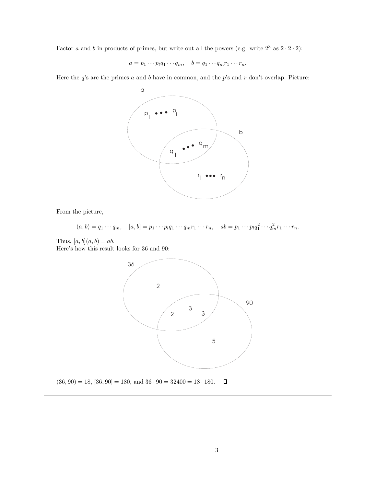Factor a and b in products of primes, but write out all the powers (e.g. write  $2^3$  as  $2 \cdot 2 \cdot 2$ ):

$$
a = p_1 \cdots p_l q_1 \cdots q_m, \quad b = q_1 \cdots q_m r_1 \cdots r_n.
$$

Here the  $q$ 's are the primes  $a$  and  $b$  have in common, and the  $p$ 's and  $r$  don't overlap. Picture:



From the picture,

$$
(a,b)=q_1\cdots q_m, \quad [a,b]=p_1\cdots p_lq_1\cdots q_m r_1\cdots r_n, \quad ab=p_1\cdots p_lq_1^2\cdots q_m^2r_1\cdots r_n.
$$

Thus,  $[a, b](a, b) = ab$ . Here's how this result looks for 36 and 90:



 $\blacksquare$  $(36, 90) = 18, [36, 90] = 180, \text{ and } 36 \cdot 90 = 32400 = 18 \cdot 180.$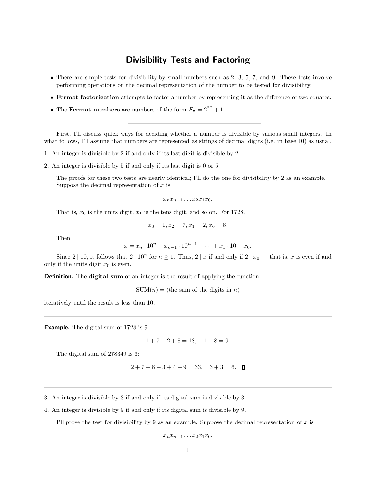### Divisibility Tests and Factoring

- There are simple tests for divisibility by small numbers such as  $2, 3, 5, 7$ , and  $9$ . These tests involve performing operations on the decimal representation of the number to be tested for divisibility.
- Fermat factorization attempts to factor a number by representing it as the difference of two squares.
- The Fermat numbers are numbers of the form  $F_n = 2^{2^n} + 1$ .

First, I'll discuss quick ways for deciding whether a number is divisible by various small integers. In what follows, I'll assume that numbers are represented as strings of decimal digits (i.e. in base 10) as usual.

- 1. An integer is divisible by 2 if and only if its last digit is divisible by 2.
- 2. An integer is divisible by 5 if and only if its last digit is 0 or 5.

The proofs for these two tests are nearly identical; I'll do the one for divisibility by 2 as an example. Suppose the decimal representation of  $x$  is

$$
x_n x_{n-1} \dots x_2 x_1 x_0.
$$

That is,  $x_0$  is the units digit,  $x_1$  is the tens digit, and so on. For 1728,

$$
x_3 = 1, x_2 = 7, x_1 = 2, x_0 = 8.
$$

Then

$$
x = x_n \cdot 10^n + x_{n-1} \cdot 10^{n-1} + \dots + x_1 \cdot 10 + x_0.
$$

Since 2 | 10, it follows that  $2 \mid 10^n$  for  $n \ge 1$ . Thus,  $2 \mid x$  if and only if  $2 \mid x_0$  — that is, x is even if and only if the units digit  $x_0$  is even.

**Definition.** The **digital sum** of an integer is the result of applying the function

 $SUM(n) =$  (the sum of the digits in n)

iteratively until the result is less than 10.

Example. The digital sum of 1728 is 9:

 $1+7+2+8=18$ ,  $1+8=9$ .

The digital sum of 278349 is 6:

$$
2+7+8+3+4+9=33
$$
,  $3+3=6$ .  $\Box$ 

3. An integer is divisible by 3 if and only if its digital sum is divisible by 3.

4. An integer is divisible by 9 if and only if its digital sum is divisible by 9.

I'll prove the test for divisibility by 9 as an example. Suppose the decimal representation of  $x$  is

 $x_nx_{n-1}\ldots x_2x_1x_0.$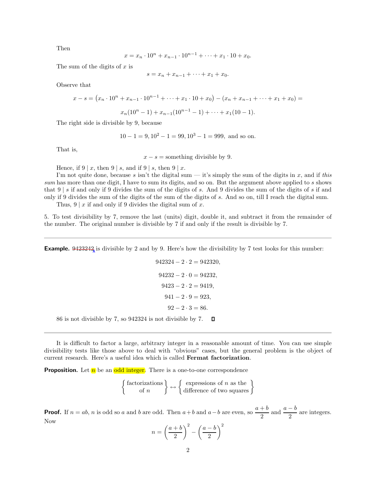Then

$$
x = x_n \cdot 10^n + x_{n-1} \cdot 10^{n-1} + \dots + x_1 \cdot 10 + x_0.
$$

The sum of the digits of  $x$  is

$$
s = x_n + x_{n-1} + \dots + x_1 + x_0.
$$

Observe that

$$
x - s = (x_n \cdot 10^n + x_{n-1} \cdot 10^{n-1} + \dots + x_1 \cdot 10 + x_0) - (x_n + x_{n-1} + \dots + x_1 + x_0) =
$$
  

$$
x_n(10^n - 1) + x_{n-1}(10^{n-1} - 1) + \dots + x_1(10 - 1).
$$

The right side is divisible by 9, because

$$
10 - 1 = 9, 10^2 - 1 = 99, 10^3 - 1 = 999
$$
, and so on.

That is,

 $x - s =$  something divisible by 9.

Hence, if  $9 \mid x$ , then  $9 \mid s$ , and if  $9 \mid s$ , then  $9 \mid x$ .

I'm not quite done, because s isn't the digital sum  $-$  it's simply the sum of the digits in x, and if this sum has more than one digit, I have to sum its digits, and so on. But the argument above applied to s shows that  $9 \mid s$  if and only if 9 divides the sum of the digits of s. And 9 divides the sum of the digits of s if and only if 9 divides the sum of the digits of the sum of the digits of s. And so on, till I reach the digital sum.

Thus,  $9 | x$  if and only if 9 divides the digital sum of x.

5. To test divisibility by 7, remove the last (units) digit, double it, and subtract it from the remainder of the number. The original number is divisible by 7 if and only if the result is divisible by 7.

**Example.** 9423242 is divisible by 2 and by 9. Here's how the divisibility by 7 test looks for this number:

$$
942324 - 2 \cdot 2 = 942320,
$$
  
\n
$$
94232 - 2 \cdot 0 = 94232,
$$
  
\n
$$
9423 - 2 \cdot 2 = 9419,
$$
  
\n
$$
941 - 2 \cdot 9 = 923,
$$
  
\n
$$
92 - 2 \cdot 3 = 86.
$$

86 is not divisible by 7, so 942324 is not divisible by 7.  $\Box$ 

It is difficult to factor a large, arbitrary integer in a reasonable amount of time. You can use simple divisibility tests like those above to deal with "obvious" cases, but the general problem is the object of current research. Here's a useful idea which is called Fermat factorization.

**Proposition.** Let  $\overline{n}$  be an odd integer. There is a one-to-one correspondence

 factorizations of n  $\Big\} \leftrightarrow \Big\{ \begin{array}{c} \text{expressions of } n \text{ as the} \\ \text{difference of two squares} \end{array} \Big\}$ 

**Proof.** If  $n = ab$ , n is odd so a and b are odd. Then  $a + b$  and  $a - b$  are even, so  $\frac{a+b}{a}$  $\frac{a-b}{2}$  and  $\frac{a-b}{2}$  are integers. Now

$$
n = \left(\frac{a+b}{2}\right)^2 - \left(\frac{a-b}{2}\right)^2
$$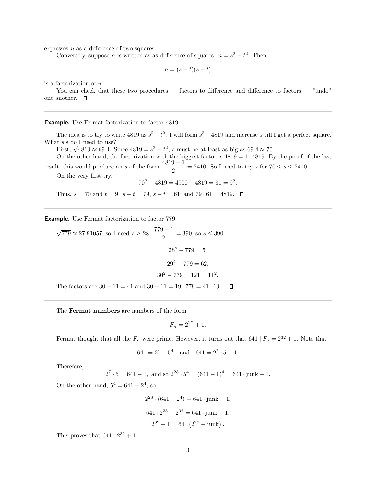expresses  $n$  as a difference of two squares.

Conversely, suppose *n* is written as as difference of squares:  $n = s^2 - t^2$ . Then

$$
n = (s - t)(s + t)
$$

is a factorization of n.

You can check that these two procedures — factors to difference and difference to factors — "undo" one another.  $\square$ 

Example. Use Fermat factorization to factor 4819.

The idea is to try to write  $4819$  as  $s^2 - t^2$ . I will form  $s^2 - 4819$  and increase s till I get a perfect square. What  $s$ 's do I need to use?

*I s* s do I here to use:<br>First,  $\sqrt{4819} \approx 69.4$ . Since  $4819 = s^2 - t^2$ , *s* must be at least as big as  $69.4 \approx 70$ .

On the other hand, the factorization with the biggest factor is  $4819 = 1 \cdot 4819$ . By the proof of the last result, this would produce an s of the form  $\frac{4819+1}{2} = 2410$ . So I need to try s for  $70 \le s \le 2410$ .

On the very first try,

$$
70^2 - 4819 = 4900 - 4819 = 81 = 9^2.
$$

Thus,  $s = 70$  and  $t = 9$ .  $s + t = 79$ ,  $s - t = 61$ , and  $79 \cdot 61 = 4819$ .  $\Box$ 

Example. Use Fermat factorization to factor 779.

 $\sqrt{779} \approx 27.91057$ , so I need  $s \geq 28$ .  $\frac{779+1}{2}$  $\frac{x+1}{2} = 390$ , so  $s \le 390$ .  $28^2 - 779 = 5$ .  $29^2 - 779 = 62$  $30^2 - 779 = 121 = 11^2.$ The factors are  $30 + 11 = 41$  and  $30 - 11 = 19$ :  $779 = 41 \cdot 19$ .  $\Box$ 

The Fermat numbers are numbers of the form

$$
F_n = 2^{2^n} + 1.
$$

Fermat thought that all the  $F_n$  were prime. However, it turns out that 641 |  $F_5 = 2^{32} + 1$ . Note that

$$
641 = 2^4 + 5^4
$$
 and  $641 = 2^7 \cdot 5 + 1$ .

Therefore,

$$
2^7 \cdot 5 = 641 - 1
$$
, and so  $2^{28} \cdot 5^4 = (641 - 1)^4 = 641 \cdot j$ unk + 1.

On the other hand,  $5^4 = 641 - 2^4$ , so

$$
2^{28} \cdot (641 - 2^4) = 641 \cdot \text{junk} + 1,
$$
  

$$
641 \cdot 2^{28} - 2^{32} = 641 \cdot \text{junk} + 1,
$$
  

$$
2^{32} + 1 = 641 (2^{28} - \text{junk}).
$$

This proves that  $641 | 2^{32} + 1$ .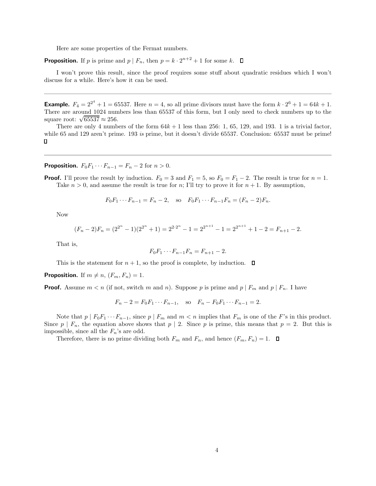Here are some properties of the Fermat numbers.

**Proposition.** If p is prime and  $p \mid F_n$ , then  $p = k \cdot 2^{n+2} + 1$  for some k.

I won't prove this result, since the proof requires some stuff about quadratic residues which I won't discuss for a while. Here's how it can be used.

**Example.**  $F_4 = 2^{2^4} + 1 = 65537$ . Here  $n = 4$ , so all prime divisors must have the form  $k \cdot 2^6 + 1 = 64k + 1$ . There are around 1024 numbers less than 65537 of this form, but I only need to check numbers up to the There are around  $1024$  num<br>square root:  $\sqrt{65537} \approx 256$ .

There are only 4 numbers of the form  $64k + 1$  less than 256: 1, 65, 129, and 193. 1 is a trivial factor, while 65 and 129 aren't prime. 193 is prime, but it doesn't divide 65537. Conclusion: 65537 must be prime!  $\Box$ 

### **Proposition.**  $F_0F_1 \cdots F_{n-1} = F_n - 2$  for  $n > 0$ .

**Proof.** I'll prove the result by induction.  $F_0 = 3$  and  $F_1 = 5$ , so  $F_0 = F_1 - 2$ . The result is true for  $n = 1$ . Take  $n > 0$ , and assume the result is true for n; I'll try to prove it for  $n + 1$ . By assumption,

$$
F_0F_1\cdots F_{n-1} = F_n - 2
$$
, so  $F_0F_1\cdots F_{n-1}F_n = (F_n - 2)F_n$ .

Now

$$
(F_n - 2)F_n = (2^{2^n} - 1)(2^{2^n} + 1) = 2^{2 \cdot 2^n} - 1 = 2^{2^{n+1}} - 1 = 2^{2^{n+1}} + 1 - 2 = F_{n+1} - 2.
$$

That is,

$$
F_0F_1\cdots F_{n-1}F_n = F_{n+1} - 2.
$$

This is the statement for  $n + 1$ , so the proof is complete, by induction.  $\Box$ 

**Proposition.** If  $m \neq n$ ,  $(F_m, F_n) = 1$ .

**Proof.** Assume  $m < n$  (if not, switch m and n). Suppose p is prime and p |  $F_m$  and p |  $F_n$ . I have

$$
F_n - 2 = F_0 F_1 \cdots F_{n-1}
$$
, so  $F_n - F_0 F_1 \cdots F_{n-1} = 2$ .

Note that  $p \mid F_0F_1 \cdots F_{n-1}$ , since  $p \mid F_m$  and  $m < n$  implies that  $F_m$  is one of the F's in this product. Since  $p \mid F_n$ , the equation above shows that  $p \mid 2$ . Since p is prime, this means that  $p = 2$ . But this is impossible, since all the  $F_n$ 's are odd.

Therefore, there is no prime dividing both  $F_m$  and  $F_n$ , and hence  $(F_m, F_n) = 1$ .  $\Box$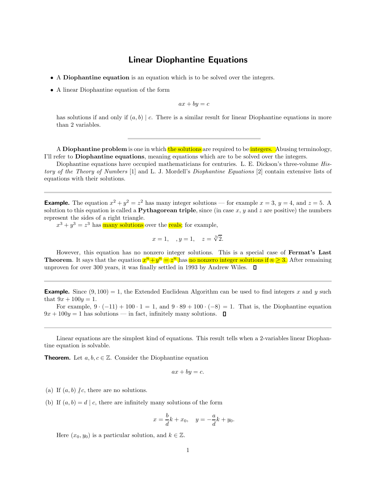## Linear Diophantine Equations

- A Diophantine equation is an equation which is to be solved over the integers.
- A linear Diophantine equation of the form

$$
ax + by = c
$$

has solutions if and only if  $(a, b) \mid c$ . There is a similar result for linear Diophantine equations in more than 2 variables.

A Diophantine problem is one in which the solutions are required to be integers. Abusing terminology, I'll refer to Diophantine equations, meaning equations which are to be solved over the integers.

Diophantine equations have occupied mathematicians for centuries. L. E. Dickson's three-volume History of the Theory of Numbers [1] and L. J. Mordell's Diophantine Equations [2] contain extensive lists of equations with their solutions.

**Example.** The equation  $x^2 + y^2 = z^2$  has many integer solutions — for example  $x = 3$ ,  $y = 4$ , and  $z = 5$ . A solution to this equation is called a **Pythagorean triple**, since (in case x, y and z are positive) the numbers represent the sides of a right triangle.

 $x^3 + y^3 = z^3$  has many solutions over the reals; for example,

$$
x = 1
$$
,  $y = 1$ ,  $z = \sqrt[3]{2}$ .

However, this equation has no nonzero integer solutions. This is a special case of Fermat's Last **Theorem**. It says that the equation  $x^n + y^n = z^n$  has no nonzero integer solutions if  $n \geq 3$ . After remaining unproven for over 300 years, it was finally settled in 1993 by Andrew Wiles.  $\Box$ 

**Example.** Since  $(9, 100) = 1$ , the Extended Euclidean Algorithm can be used to find integers x and y such that  $9x + 100y = 1$ .

For example,  $9 \cdot (-11) + 100 \cdot 1 = 1$ , and  $9 \cdot 89 + 100 \cdot (-8) = 1$ . That is, the Diophantine equation  $9x + 100y = 1$  has solutions — in fact, infinitely many solutions.  $\Box$ 

Linear equations are the simplest kind of equations. This result tells when a 2-variables linear Diophantine equation is solvable.

**Theorem.** Let  $a, b, c \in \mathbb{Z}$ . Consider the Diophantine equation

$$
ax + by = c.
$$

(a) If  $(a, b)$  /c, there are no solutions.

(b) If  $(a, b) = d | c$ , there are infinitely many solutions of the form

$$
x = \frac{b}{d}k + x_0
$$
,  $y = -\frac{a}{d}k + y_0$ .

Here  $(x_0, y_0)$  is a particular solution, and  $k \in \mathbb{Z}$ .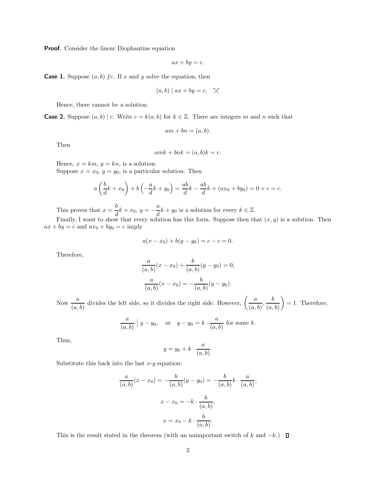**Proof.** Consider the linear Diophantine equation

$$
ax + by = c.
$$

**Case 1.** Suppose  $(a, b)$  /*c*. If x and y solve the equation, then

$$
(a, b) | ax + by = c. \quad \times
$$

Hence, there cannot be a solution.

**Case 2.** Suppose  $(a, b) \mid c$ . Write  $c = k(a, b)$  for  $k \in \mathbb{Z}$ . There are integers m and n such that

$$
am + bn = (a, b).
$$

Then

$$
amk + bnk = (a, b)k = c.
$$

Hence,  $x = km$ ,  $y = kn$ , is a solution. Suppose  $x = x_0$ ,  $y = y_0$ , is a particular solution. Then

$$
a\left(\frac{b}{d}k + x_0\right) + b\left(-\frac{a}{d}k + y_0\right) = \frac{ab}{d}k - \frac{ab}{d}k + (ax_0 + by_0) = 0 + c = c.
$$

This proves that  $x = \frac{b}{1}$  $\frac{b}{d}k + x_0, y = -\frac{a}{d}$  $\frac{d}{dt}k + y_0$  is a solution for every  $k \in \mathbb{Z}$ .

Finally, I want to show that every solution has this form. Suppose then that  $(x, y)$  is a solution. Then  $ax + by = c$  and  $ax_0 + by_0 = c$  imply

$$
a(x - x_0) + b(y - y_0) = c - c = 0.
$$

Therefore,

$$
\frac{a}{(a,b)}(x-x_0) + \frac{b}{(a,b)}(y-y_0) = 0,
$$
  

$$
\frac{a}{(a,b)}(x-x_0) = -\frac{b}{(a,b)}(y-y_0).
$$

Now  $\frac{a}{(a, b)}$  divides the left side, so it divides the right side. However,  $\left(\frac{a}{(a, b)}\right)$  $\frac{a}{(a, b)}, \frac{b}{(a, b)}$  $(a, b)$  $= 1.$  Therefore,

$$
\frac{a}{(a,b)} | y - y_0, \quad \text{or} \quad y - y_0 = k \cdot \frac{a}{(a,b)} \text{ for some } k.
$$

Thus,

$$
y = y_0 + k \cdot \frac{a}{(a, b)}.
$$

Substitute this back into the last  $x-y$  equation:

$$
\frac{a}{(a,b)}(x - x_0) = -\frac{b}{(a,b)}(y - y_0) = -\frac{b}{(a,b)}k \cdot \frac{a}{(a,b)},
$$

$$
x - x_0 = -k \cdot \frac{b}{(a,b)},
$$

$$
x = x_0 - k \cdot \frac{b}{(a,b)}.
$$

This is the result stated in the theorem (with an unimportant switch of k and  $-k$ .)  $\Box$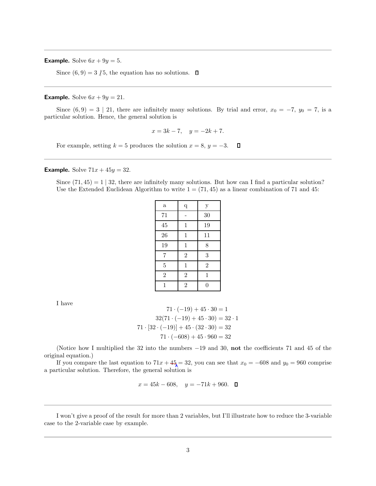**Example.** Solve  $6x + 9y = 5$ .

Since  $(6, 9) = 3 \nmid 5$ , the equation has no solutions.  $\Box$ 

### **Example.** Solve  $6x + 9y = 21$ .

Since  $(6, 9) = 3 \mid 21$ , there are infinitely many solutions. By trial and error,  $x_0 = -7$ ,  $y_0 = 7$ , is a particular solution. Hence, the general solution is

$$
x = 3k - 7, \quad y = -2k + 7.
$$

For example, setting  $k = 5$  produces the solution  $x = 8$ ,  $y = -3$ .  $\Box$ 

**Example.** Solve  $71x + 45y = 32$ .

Since  $(71, 45) = 1 \mid 32$ , there are infinitely many solutions. But how can I find a particular solution? Use the Extended Euclidean Algorithm to write  $1 = (71, 45)$  as a linear combination of 71 and 45:

| q              | $\mathbf y$    |
|----------------|----------------|
|                | 30             |
| $\mathbf 1$    | 19             |
| $\mathbf 1$    | 11             |
| $\mathbf 1$    | 8              |
| $\overline{2}$ | 3              |
| $\mathbf 1$    | $\overline{2}$ |
| $\overline{2}$ | $\mathbf{1}$   |
| $\mathbf{2}$   | $\overline{0}$ |
|                |                |

I have

$$
71 \cdot (-19) + 45 \cdot 30 = 1
$$

$$
32(71 \cdot (-19) + 45 \cdot 30) = 32 \cdot 1
$$

$$
71 \cdot [32 \cdot (-19)] + 45 \cdot (32 \cdot 30) = 32
$$

$$
71 \cdot (-608) + 45 \cdot 960 = 32
$$

(Notice how I multiplied the 32 into the numbers −19 and 30, not the coefficients 71 and 45 of the original equation.)

If you compare the last equation to  $71x + 45 = 32$ , you can see that  $x_0 = -608$  and  $y_0 = 960$  comprise a particular solution. Therefore, the general solution is

$$
x = 45k - 608, \quad y = -71k + 960. \quad \Box
$$

I won't give a proof of the result for more than 2 variables, but I'll illustrate how to reduce the 3-variable case to the 2-variable case by example.